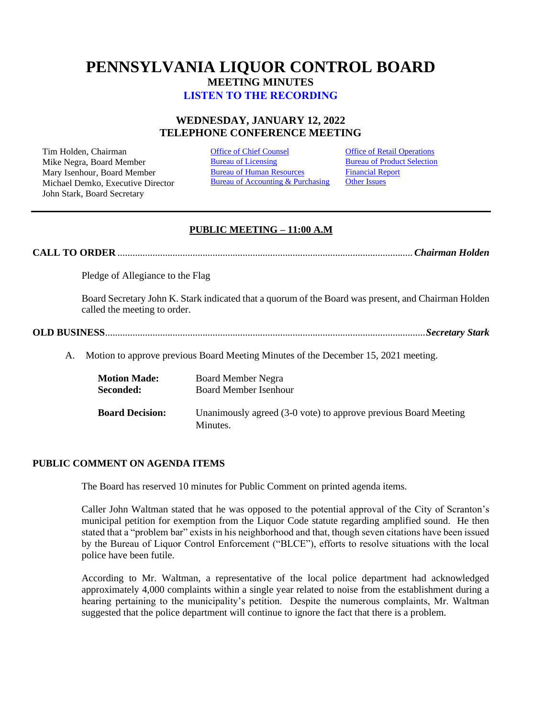# **PENNSYLVANIA LIQUOR CONTROL BOARD MEETING MINUTES [LISTEN TO THE RECORDING](https://youtu.be/zl1XtZTzyhE)**

## **WEDNESDAY, JANUARY 12, 2022 TELEPHONE CONFERENCE MEETING**

Tim Holden, Chairman **[Office of Chief Counsel](#page-1-0) Office [of Retail Operations](#page-9-0)**<br>
Mike Negra. Board Member **Bureau of Licensing** Bureau of Product Selection Mike Negra, Board Member Mary Isenhour, Board Member Michael Demko, Executive Director John Stark, Board Secretary

[Bureau of Human Resources](#page-8-0) Bureau of Accounting & Purchasing [Financial Report](#page-9-1) [Other Issues](#page-16-0)

## **PUBLIC MEETING – 11:00 A.M**

**CALL TO ORDER** ......................................................................................................................*Chairman Holden*

Pledge of Allegiance to the Flag

Board Secretary John K. Stark indicated that a quorum of the Board was present, and Chairman Holden called the meeting to order.

## **OLD BUSINESS**................................................................................................................................*Secretary Stark*

A. Motion to approve previous Board Meeting Minutes of the December 15, 2021 meeting.

| <b>Motion Made:</b>    | Board Member Negra                                                          |
|------------------------|-----------------------------------------------------------------------------|
| Seconded:              | <b>Board Member Isenhour</b>                                                |
| <b>Board Decision:</b> | Unanimously agreed (3-0 vote) to approve previous Board Meeting<br>Minutes. |

## **PUBLIC COMMENT ON AGENDA ITEMS**

The Board has reserved 10 minutes for Public Comment on printed agenda items.

Caller John Waltman stated that he was opposed to the potential approval of the City of Scranton's municipal petition for exemption from the Liquor Code statute regarding amplified sound. He then stated that a "problem bar" exists in his neighborhood and that, though seven citations have been issued by the Bureau of Liquor Control Enforcement ("BLCE"), efforts to resolve situations with the local police have been futile.

According to Mr. Waltman, a representative of the local police department had acknowledged approximately 4,000 complaints within a single year related to noise from the establishment during a hearing pertaining to the municipality's petition. Despite the numerous complaints, Mr. Waltman suggested that the police department will continue to ignore the fact that there is a problem.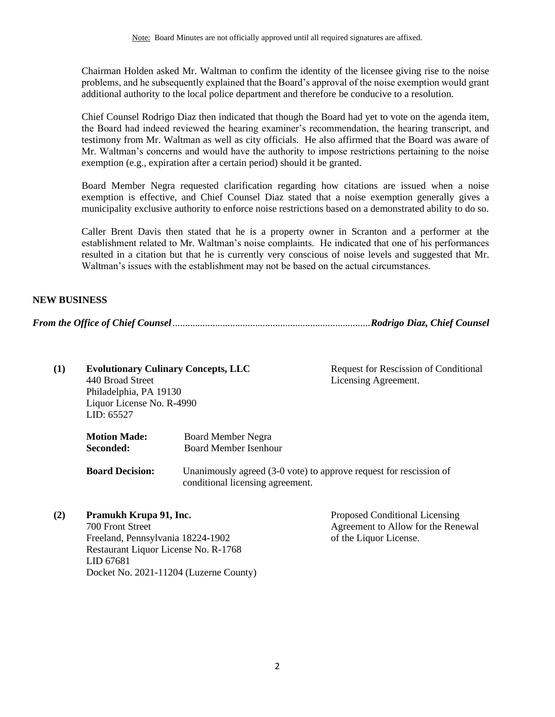Chairman Holden asked Mr. Waltman to confirm the identity of the licensee giving rise to the noise problems, and he subsequently explained that the Board's approval of the noise exemption would grant additional authority to the local police department and therefore be conducive to a resolution.

Chief Counsel Rodrigo Diaz then indicated that though the Board had yet to vote on the agenda item, the Board had indeed reviewed the hearing examiner's recommendation, the hearing transcript, and testimony from Mr. Waltman as well as city officials. He also affirmed that the Board was aware of Mr. Waltman's concerns and would have the authority to impose restrictions pertaining to the noise exemption (e.g., expiration after a certain period) should it be granted.

Board Member Negra requested clarification regarding how citations are issued when a noise exemption is effective, and Chief Counsel Diaz stated that a noise exemption generally gives a municipality exclusive authority to enforce noise restrictions based on a demonstrated ability to do so.

Caller Brent Davis then stated that he is a property owner in Scranton and a performer at the establishment related to Mr. Waltman's noise complaints. He indicated that one of his performances resulted in a citation but that he is currently very conscious of noise levels and suggested that Mr. Waltman's issues with the establishment may not be based on the actual circumstances.

## **NEW BUSINESS**

<span id="page-1-0"></span>*From the Office of Chief Counsel*...............................................................................*Rodrigo Diaz, Chief Counsel*

| (1) | <b>Evolutionary Culinary Concepts, LLC</b><br>440 Broad Street<br>Philadelphia, PA 19130<br>Liquor License No. R-4990<br>LID: 65527 |                                                           | Request for Rescission of Conditional<br>Licensing Agreement.      |  |
|-----|-------------------------------------------------------------------------------------------------------------------------------------|-----------------------------------------------------------|--------------------------------------------------------------------|--|
|     | <b>Motion Made:</b><br>Seconded:                                                                                                    | <b>Board Member Negra</b><br><b>Board Member Isenhour</b> |                                                                    |  |
|     | <b>Board Decision:</b>                                                                                                              | conditional licensing agreement.                          | Unanimously agreed (3-0 vote) to approve request for rescission of |  |
|     |                                                                                                                                     |                                                           |                                                                    |  |

| (2) | Pramukh Krupa 91, Inc.                 | Proposed Conditional Licensing     |
|-----|----------------------------------------|------------------------------------|
|     | 700 Front Street                       | Agreement to Allow for the Renewal |
|     | Freeland, Pennsylvania 18224-1902      | of the Liquor License.             |
|     | Restaurant Liquor License No. R-1768   |                                    |
|     | LID 67681                              |                                    |
|     | Docket No. 2021-11204 (Luzerne County) |                                    |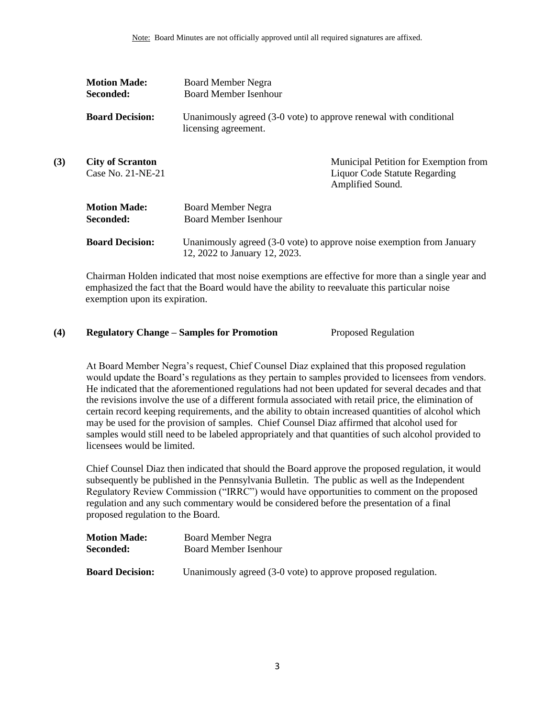|     | <b>Motion Made:</b><br>Seconded:             | <b>Board Member Negra</b><br><b>Board Member Isenhour</b> |                                                                                                   |
|-----|----------------------------------------------|-----------------------------------------------------------|---------------------------------------------------------------------------------------------------|
|     | <b>Board Decision:</b>                       | licensing agreement.                                      | Unanimously agreed (3-0 vote) to approve renewal with conditional                                 |
| (3) | <b>City of Scranton</b><br>Case No. 21-NE-21 |                                                           | Municipal Petition for Exemption from<br><b>Liquor Code Statute Regarding</b><br>Amplified Sound. |
|     | <b>Motion Made:</b><br>Seconded:             | <b>Board Member Negra</b><br><b>Board Member Isenhour</b> |                                                                                                   |
|     | <b>Board Decision:</b>                       | 12, 2022 to January 12, 2023.                             | Unanimously agreed (3-0 vote) to approve noise exemption from January                             |

Chairman Holden indicated that most noise exemptions are effective for more than a single year and emphasized the fact that the Board would have the ability to reevaluate this particular noise exemption upon its expiration.

## **(4) Regulatory Change – Samples for Promotion** Proposed Regulation

At Board Member Negra's request, Chief Counsel Diaz explained that this proposed regulation would update the Board's regulations as they pertain to samples provided to licensees from vendors. He indicated that the aforementioned regulations had not been updated for several decades and that the revisions involve the use of a different formula associated with retail price, the elimination of certain record keeping requirements, and the ability to obtain increased quantities of alcohol which may be used for the provision of samples. Chief Counsel Diaz affirmed that alcohol used for samples would still need to be labeled appropriately and that quantities of such alcohol provided to licensees would be limited.

Chief Counsel Diaz then indicated that should the Board approve the proposed regulation, it would subsequently be published in the Pennsylvania Bulletin. The public as well as the Independent Regulatory Review Commission ("IRRC") would have opportunities to comment on the proposed regulation and any such commentary would be considered before the presentation of a final proposed regulation to the Board.

| <b>Motion Made:</b>    | Board Member Negra                                            |
|------------------------|---------------------------------------------------------------|
| Seconded:              | Board Member Isenhour                                         |
|                        |                                                               |
| <b>Board Decision:</b> | Unanimously agreed (3-0 vote) to approve proposed regulation. |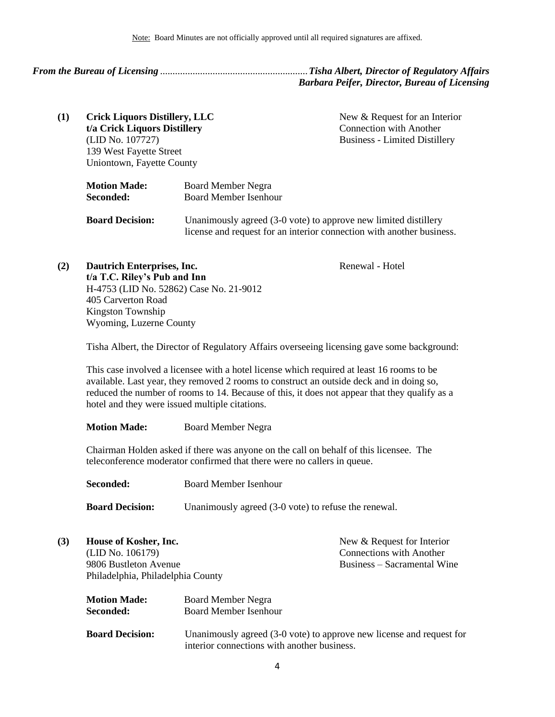## <span id="page-3-0"></span>*From the Bureau of Licensing* ...........................................................*Tisha Albert, Director of Regulatory Affairs Barbara Peifer, Director, Bureau of Licensing*

**(1) Crick Liquors Distillery, LLC t/a Crick Liquors Distillery** (LID No. 107727) 139 West Fayette Street Uniontown, Fayette County

New & Request for an Interior Connection with Another Business - Limited Distillery

Renewal - Hotel

| <b>Motion Made:</b>    | <b>Board Member Negra</b>                                                                                                                |
|------------------------|------------------------------------------------------------------------------------------------------------------------------------------|
| Seconded:              | <b>Board Member Isenhour</b>                                                                                                             |
| <b>Board Decision:</b> | Unanimously agreed (3-0 vote) to approve new limited distillery<br>license and request for an interior connection with another business. |

**(2) Dautrich Enterprises, Inc. t/a T.C. Riley's Pub and Inn** H-4753 (LID No. 52862) Case No. 21-9012 405 Carverton Road Kingston Township Wyoming, Luzerne County

Tisha Albert, the Director of Regulatory Affairs overseeing licensing gave some background:

This case involved a licensee with a hotel license which required at least 16 rooms to be available. Last year, they removed 2 rooms to construct an outside deck and in doing so, reduced the number of rooms to 14. Because of this, it does not appear that they qualify as a hotel and they were issued multiple citations.

**Motion Made:** Board Member Negra

Chairman Holden asked if there was anyone on the call on behalf of this licensee. The teleconference moderator confirmed that there were no callers in queue.

**Seconded:** Board Member Isenhour

**Board Decision:** Unanimously agreed (3-0 vote) to refuse the renewal.

| (3) | House of Kosher, Inc.             |                                             | New & Request for Interior                                           |
|-----|-----------------------------------|---------------------------------------------|----------------------------------------------------------------------|
|     | (LID No. 106179)                  |                                             | <b>Connections with Another</b>                                      |
|     | 9806 Bustleton Avenue             |                                             | Business – Sacramental Wine                                          |
|     | Philadelphia, Philadelphia County |                                             |                                                                      |
|     | <b>Motion Made:</b>               | <b>Board Member Negra</b>                   |                                                                      |
|     | Seconded:                         | <b>Board Member Isenhour</b>                |                                                                      |
|     | <b>Board Decision:</b>            | interior connections with another business. | Unanimously agreed (3-0 vote) to approve new license and request for |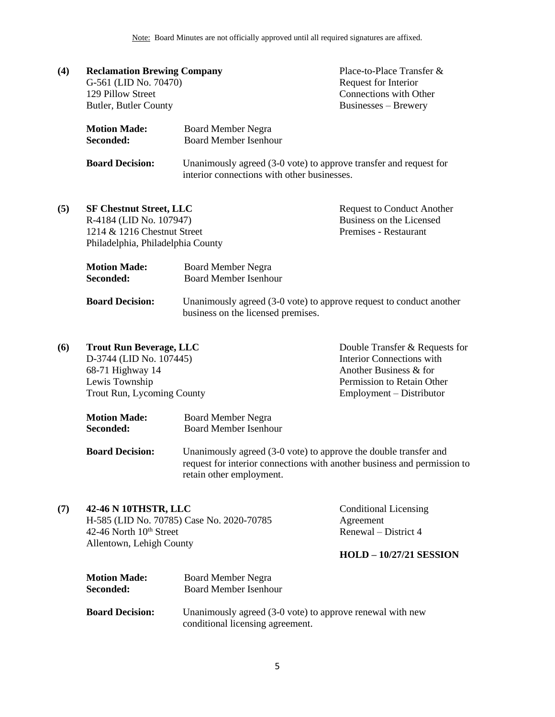| (4) | <b>Reclamation Brewing Company</b><br>G-561 (LID No. 70470)<br>129 Pillow Street<br>Butler, Butler County                     |                                                                                                                                                                          | Place-to-Place Transfer &<br>Request for Interior<br>Connections with Other<br>Businesses - Brewery                                                    |
|-----|-------------------------------------------------------------------------------------------------------------------------------|--------------------------------------------------------------------------------------------------------------------------------------------------------------------------|--------------------------------------------------------------------------------------------------------------------------------------------------------|
|     | <b>Motion Made:</b><br>Seconded:                                                                                              | <b>Board Member Negra</b><br><b>Board Member Isenhour</b>                                                                                                                |                                                                                                                                                        |
|     | <b>Board Decision:</b>                                                                                                        | Unanimously agreed (3-0 vote) to approve transfer and request for<br>interior connections with other businesses.                                                         |                                                                                                                                                        |
| (5) | <b>SF Chestnut Street, LLC</b><br>R-4184 (LID No. 107947)<br>1214 & 1216 Chestnut Street<br>Philadelphia, Philadelphia County |                                                                                                                                                                          | <b>Request to Conduct Another</b><br>Business on the Licensed<br>Premises - Restaurant                                                                 |
|     | <b>Motion Made:</b><br>Seconded:                                                                                              | <b>Board Member Negra</b><br><b>Board Member Isenhour</b>                                                                                                                |                                                                                                                                                        |
|     | <b>Board Decision:</b>                                                                                                        | Unanimously agreed (3-0 vote) to approve request to conduct another<br>business on the licensed premises.                                                                |                                                                                                                                                        |
| (6) | <b>Trout Run Beverage, LLC</b><br>D-3744 (LID No. 107445)<br>68-71 Highway 14<br>Lewis Township<br>Trout Run, Lycoming County |                                                                                                                                                                          | Double Transfer & Requests for<br><b>Interior Connections with</b><br>Another Business & for<br>Permission to Retain Other<br>Employment – Distributor |
|     | <b>Motion Made:</b><br>Seconded:                                                                                              | <b>Board Member Negra</b><br><b>Board Member Isenhour</b>                                                                                                                |                                                                                                                                                        |
|     | <b>Board Decision:</b>                                                                                                        | Unanimously agreed (3-0 vote) to approve the double transfer and<br>request for interior connections with another business and permission to<br>retain other employment. |                                                                                                                                                        |
| (7) | 42-46 N 10THSTR, LLC<br>42-46 North 10 <sup>th</sup> Street<br>Allentown, Lehigh County                                       | H-585 (LID No. 70785) Case No. 2020-70785                                                                                                                                | <b>Conditional Licensing</b><br>Agreement<br>Renewal - District 4<br>$HOLD - 10/27/21$ SESSION                                                         |
|     | <b>Motion Made:</b><br>Seconded:                                                                                              | <b>Board Member Negra</b><br><b>Board Member Isenhour</b>                                                                                                                |                                                                                                                                                        |

**Board Decision:** Unanimously agreed (3-0 vote) to approve renewal with new conditional licensing agreement.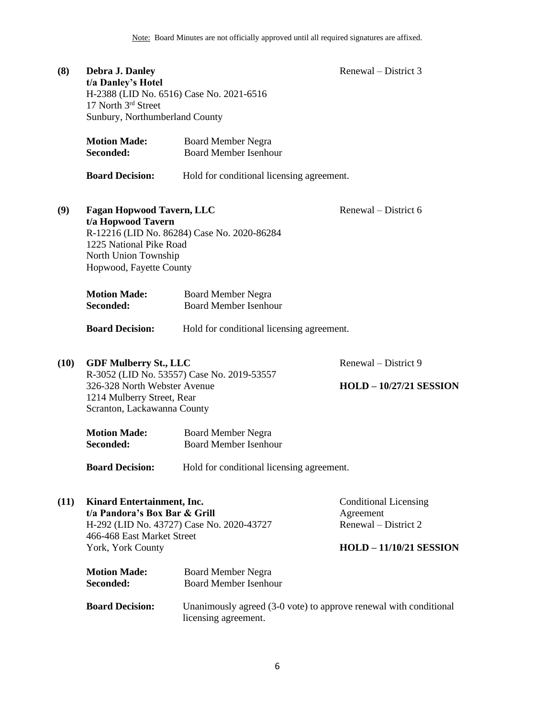| (8)  | Debra J. Danley<br>t/a Danley's Hotel<br>17 North 3rd Street<br>Sunbury, Northumberland County                                       | H-2388 (LID No. 6516) Case No. 2021-6516                  | Renewal – District 3                                                                                |
|------|--------------------------------------------------------------------------------------------------------------------------------------|-----------------------------------------------------------|-----------------------------------------------------------------------------------------------------|
|      | <b>Motion Made:</b><br>Seconded:                                                                                                     | <b>Board Member Negra</b><br><b>Board Member Isenhour</b> |                                                                                                     |
|      | <b>Board Decision:</b>                                                                                                               | Hold for conditional licensing agreement.                 |                                                                                                     |
| (9)  | <b>Fagan Hopwood Tavern, LLC</b><br>t/a Hopwood Tavern<br>1225 National Pike Road<br>North Union Township<br>Hopwood, Fayette County | R-12216 (LID No. 86284) Case No. 2020-86284               | Renewal – District 6                                                                                |
|      | <b>Motion Made:</b><br>Seconded:                                                                                                     | <b>Board Member Negra</b><br><b>Board Member Isenhour</b> |                                                                                                     |
|      | <b>Board Decision:</b>                                                                                                               | Hold for conditional licensing agreement.                 |                                                                                                     |
| (10) | <b>GDF Mulberry St., LLC</b><br>326-328 North Webster Avenue<br>1214 Mulberry Street, Rear<br>Scranton, Lackawanna County            | R-3052 (LID No. 53557) Case No. 2019-53557                | Renewal – District 9<br><b>HOLD - 10/27/21 SESSION</b>                                              |
|      | <b>Motion Made:</b><br>Seconded:                                                                                                     | <b>Board Member Negra</b><br><b>Board Member Isenhour</b> |                                                                                                     |
|      | <b>Board Decision:</b>                                                                                                               | Hold for conditional licensing agreement.                 |                                                                                                     |
| (11) | Kinard Entertainment, Inc.<br>t/a Pandora's Box Bar & Grill<br>466-468 East Market Street<br>York, York County                       | H-292 (LID No. 43727) Case No. 2020-43727                 | <b>Conditional Licensing</b><br>Agreement<br>Renewal – District 2<br><b>HOLD - 11/10/21 SESSION</b> |
|      | <b>Motion Made:</b><br>Seconded:                                                                                                     | <b>Board Member Negra</b><br><b>Board Member Isenhour</b> |                                                                                                     |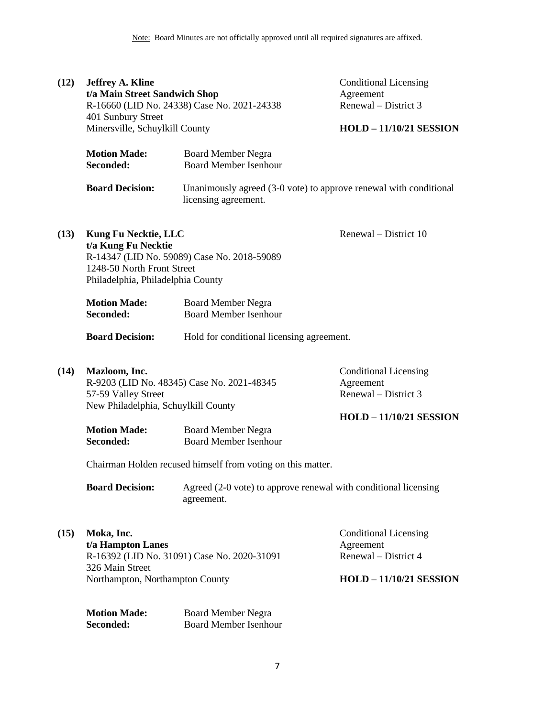| (12) | <b>Jeffrey A. Kline</b><br>t/a Main Street Sandwich Shop<br>401 Sunbury Street<br>Minersville, Schuylkill County      | R-16660 (LID No. 24338) Case No. 2021-24338                                               | <b>Conditional Licensing</b><br>Agreement<br>Renewal – District 3<br><b>HOLD - 11/10/21 SESSION</b> |
|------|-----------------------------------------------------------------------------------------------------------------------|-------------------------------------------------------------------------------------------|-----------------------------------------------------------------------------------------------------|
|      | <b>Motion Made:</b><br>Seconded:                                                                                      | <b>Board Member Negra</b><br><b>Board Member Isenhour</b>                                 |                                                                                                     |
|      | <b>Board Decision:</b>                                                                                                | Unanimously agreed (3-0 vote) to approve renewal with conditional<br>licensing agreement. |                                                                                                     |
| (13) | <b>Kung Fu Necktie, LLC</b><br>t/a Kung Fu Necktie<br>1248-50 North Front Street<br>Philadelphia, Philadelphia County | R-14347 (LID No. 59089) Case No. 2018-59089                                               | Renewal - District 10                                                                               |
|      | <b>Motion Made:</b><br>Seconded:                                                                                      | <b>Board Member Negra</b><br><b>Board Member Isenhour</b>                                 |                                                                                                     |
|      | <b>Board Decision:</b>                                                                                                | Hold for conditional licensing agreement.                                                 |                                                                                                     |
| (14) | Mazloom, Inc.<br>57-59 Valley Street<br>New Philadelphia, Schuylkill County                                           | R-9203 (LID No. 48345) Case No. 2021-48345                                                | <b>Conditional Licensing</b><br>Agreement<br>Renewal – District 3<br><b>HOLD - 11/10/21 SESSION</b> |
|      | <b>Motion Made:</b><br>Seconded:                                                                                      | <b>Board Member Negra</b><br><b>Board Member Isenhour</b>                                 |                                                                                                     |
|      | Chairman Holden recused himself from voting on this matter.                                                           |                                                                                           |                                                                                                     |
|      | <b>Board Decision:</b>                                                                                                | Agreed (2-0 vote) to approve renewal with conditional licensing<br>agreement.             |                                                                                                     |
| (15) | Moka, Inc.<br>t/a Hampton Lanes<br>326 Main Street                                                                    | R-16392 (LID No. 31091) Case No. 2020-31091                                               | <b>Conditional Licensing</b><br>Agreement<br>Renewal - District 4                                   |
|      | Northampton, Northampton County                                                                                       |                                                                                           | <b>HOLD - 11/10/21 SESSION</b>                                                                      |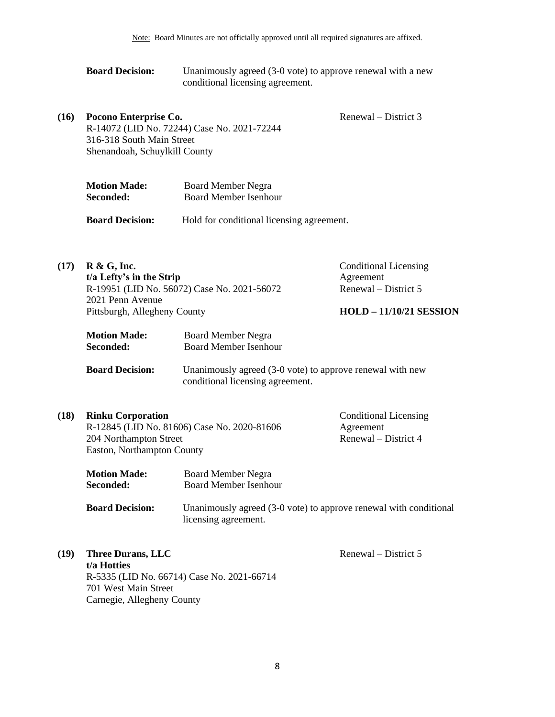**Board Decision:** Unanimously agreed (3-0 vote) to approve renewal with a new conditional licensing agreement.

**(16) Pocono Enterprise Co.** R-14072 (LID No. 72244) Case No. 2021-72244 316-318 South Main Street Shenandoah, Schuylkill County

| <b>Motion Made:</b> | <b>Board Member Negra</b> |
|---------------------|---------------------------|
| <b>Seconded:</b>    | Board Member Isenhour     |

**Board Decision:** Hold for conditional licensing agreement.

**(17) R & G, Inc. t/a Lefty's in the Strip** R-19951 (LID No. 56072) Case No. 2021-56072 2021 Penn Avenue Pittsburgh, Allegheny County Conditional Licensing Agreement Renewal – District 5 **HOLD – 11/10/21 SESSION Motion Made:** Board Member Negra **Seconded:** Board Member Isenhour **Board Decision:** Unanimously agreed (3-0 vote) to approve renewal with new conditional licensing agreement.

| (18) | <b>Rinku Corporation</b>                    | Condit |
|------|---------------------------------------------|--------|
|      | R-12845 (LID No. 81606) Case No. 2020-81606 | Agreen |
|      | 204 Northampton Street                      | Renew  |
|      | Easton, Northampton County                  |        |

nditional Licensing ment  $val$  – District 4

Renewal – District 3

| <b>Motion Made:</b>                                   | Board Member Negra                                                                                            |
|-------------------------------------------------------|---------------------------------------------------------------------------------------------------------------|
| Seconded:                                             | Board Member Isenhour                                                                                         |
| $\mathbf{D}_{\text{local}} \mathbf{D}_{\text{total}}$ | Unanimated agreed (2.0 $\alpha$ and $\alpha$ and $\alpha$ and $\alpha$ and $\alpha$ and $\alpha$ and $\alpha$ |

- **Board Decision:** Unanimously agreed (3-0 vote) to approve renewal with conditional licensing agreement.
- **(19) Three Durans, LLC t/a Hotties** R-5335 (LID No. 66714) Case No. 2021-66714 701 West Main Street Carnegie, Allegheny County Renewal – District 5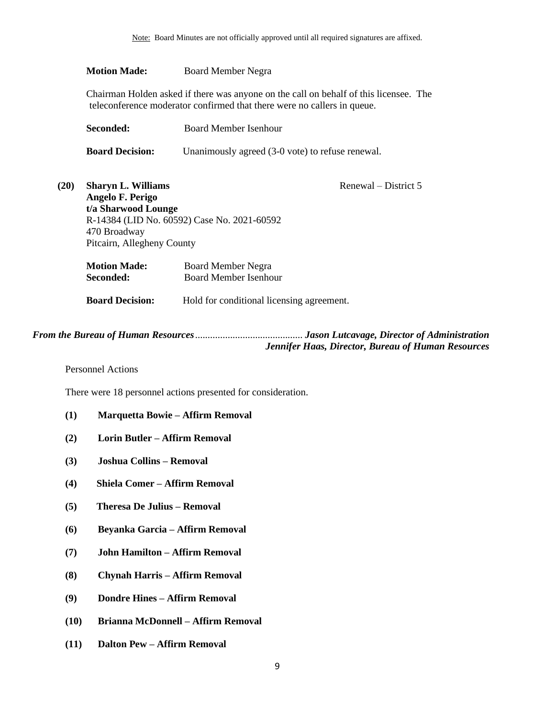## **Motion Made:** Board Member Negra

Chairman Holden asked if there was anyone on the call on behalf of this licensee. The teleconference moderator confirmed that there were no callers in queue.

| Seconded:              | Board Member Isenhour                            |  |  |  |  |
|------------------------|--------------------------------------------------|--|--|--|--|
| <b>Board Decision:</b> | Unanimously agreed (3-0 vote) to refuse renewal. |  |  |  |  |

| (20) | <b>Sharyn L. Williams</b>                   |                                           | Renewal – District 5 |  |  |  |
|------|---------------------------------------------|-------------------------------------------|----------------------|--|--|--|
|      | Angelo F. Perigo                            |                                           |                      |  |  |  |
|      | t/a Sharwood Lounge                         |                                           |                      |  |  |  |
|      | R-14384 (LID No. 60592) Case No. 2021-60592 |                                           |                      |  |  |  |
|      | 470 Broadway                                |                                           |                      |  |  |  |
|      | Pitcairn, Allegheny County                  |                                           |                      |  |  |  |
|      | <b>Motion Made:</b>                         | <b>Board Member Negra</b>                 |                      |  |  |  |
|      | Seconded:                                   | <b>Board Member Isenhour</b>              |                      |  |  |  |
|      | <b>Board Decision:</b>                      | Hold for conditional licensing agreement. |                      |  |  |  |

*From the Bureau of Human Resources*........................................... *Jason Lutcavage, Director of Administration Jennifer Haas, Director, Bureau of Human Resources*

<span id="page-8-0"></span>Personnel Actions

There were 18 personnel actions presented for consideration.

### **(1) Marquetta Bowie – Affirm Removal**

- **(2) Lorin Butler – Affirm Removal**
- **(3) Joshua Collins – Removal**
- **(4) Shiela Comer – Affirm Removal**
- **(5) Theresa De Julius – Removal**
- **(6) Beyanka Garcia – Affirm Removal**
- **(7) John Hamilton – Affirm Removal**
- **(8) Chynah Harris – Affirm Removal**
- **(9) Dondre Hines – Affirm Removal**
- **(10) Brianna McDonnell – Affirm Removal**
- **(11) Dalton Pew – Affirm Removal**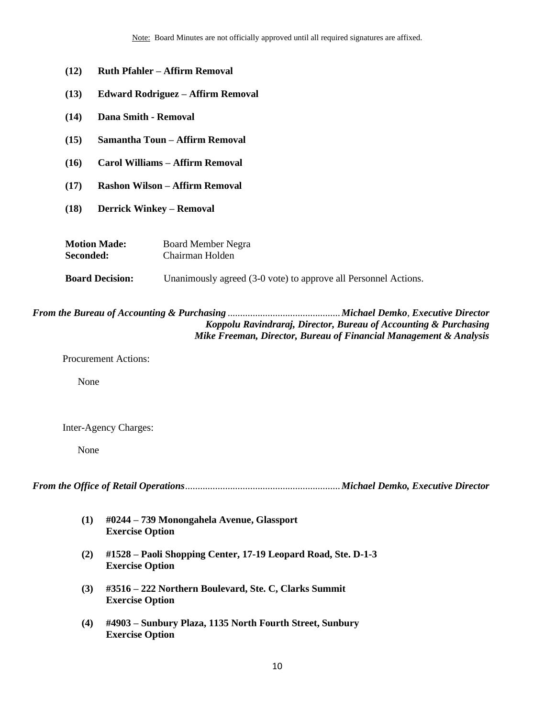- **(12) Ruth Pfahler – Affirm Removal**
- **(13) Edward Rodriguez – Affirm Removal**
- **(14) Dana Smith - Removal**
- **(15) Samantha Toun – Affirm Removal**
- **(16) Carol Williams – Affirm Removal**
- **(17) Rashon Wilson – Affirm Removal**
- **(18) Derrick Winkey – Removal**

| <b>Motion Made:</b> | <b>Board Member Negra</b> |
|---------------------|---------------------------|
| Seconded:           | Chairman Holden           |

**Board Decision:** Unanimously agreed (3-0 vote) to approve all Personnel Actions.

## <span id="page-9-1"></span>*From the Bureau of Accounting & Purchasing* .............................................*Michael Demko*, *Executive Director Koppolu Ravindraraj, Director, Bureau of Accounting & Purchasing Mike Freeman, Director, Bureau of Financial Management & Analysis*

Procurement Actions:

None

Inter-Agency Charges:

None

<span id="page-9-0"></span>*From the Office of Retail Operations*..............................................................*Michael Demko, Executive Director*

- **(1) #0244 – 739 Monongahela Avenue, Glassport Exercise Option**
- **(2) #1528 – Paoli Shopping Center, 17-19 Leopard Road, Ste. D-1-3 Exercise Option**
- **(3) #3516 – 222 Northern Boulevard, Ste. C, Clarks Summit Exercise Option**
- **(4) #4903 – Sunbury Plaza, 1135 North Fourth Street, Sunbury Exercise Option**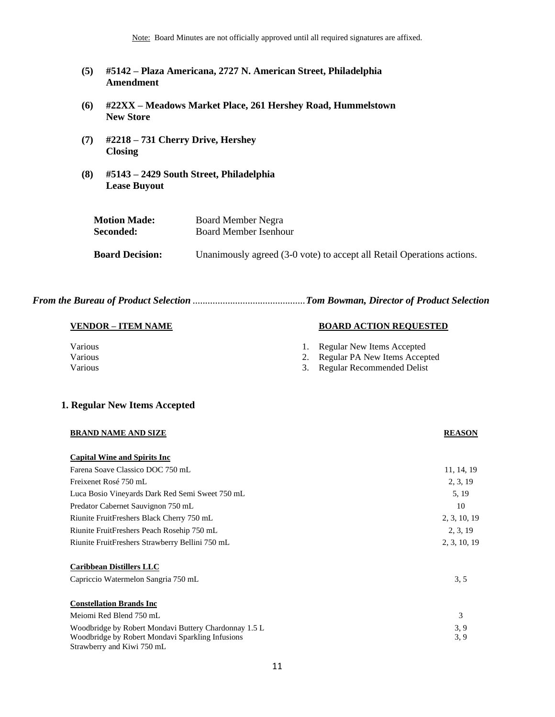Note: Board Minutes are not officially approved until all required signatures are affixed.

- **(5) #5142 – Plaza Americana, 2727 N. American Street, Philadelphia Amendment**
- **(6) #22XX – Meadows Market Place, 261 Hershey Road, Hummelstown New Store**
- **(7) #2218 – 731 Cherry Drive, Hershey Closing**
- **(8) #5143 – 2429 South Street, Philadelphia Lease Buyout**

| <b>Motion Made:</b>    | Board Member Negra                                                     |
|------------------------|------------------------------------------------------------------------|
| <b>Seconded:</b>       | Board Member Isenhour                                                  |
| <b>Board Decision:</b> | Unanimously agreed (3-0 vote) to accept all Retail Operations actions. |

*From the Bureau of Product Selection* .............................................*Tom Bowman, Director of Product Selection*

#### **VENDOR – ITEM NAME BOARD ACTION REQUESTED**

- Various **1. Regular New Items Accepted**
- Various 2. Regular PA New Items Accepted
- Various 3. Regular Recommended Delist

#### **1. Regular New Items Accepted**

| <b>BRAND NAME AND SIZE</b>                            | <b>REASON</b> |
|-------------------------------------------------------|---------------|
| <b>Capital Wine and Spirits Inc</b>                   |               |
| Farena Soave Classico DOC 750 mL                      | 11, 14, 19    |
| Freixenet Rosé 750 mL                                 | 2, 3, 19      |
| Luca Bosio Vineyards Dark Red Semi Sweet 750 mL       | 5, 19         |
| Predator Cabernet Sauvignon 750 mL                    | 10            |
| Riunite FruitFreshers Black Cherry 750 mL             | 2, 3, 10, 19  |
| Riunite FruitFreshers Peach Rosehip 750 mL            | 2, 3, 19      |
| Riunite FruitFreshers Strawberry Bellini 750 mL       | 2, 3, 10, 19  |
| <b>Caribbean Distillers LLC</b>                       |               |
| Capriccio Watermelon Sangria 750 mL                   | 3, 5          |
| <b>Constellation Brands Inc</b>                       |               |
| Meiomi Red Blend 750 mL                               | 3             |
| Woodbridge by Robert Mondavi Buttery Chardonnay 1.5 L | 3, 9          |
| Woodbridge by Robert Mondavi Sparkling Infusions      | 3, 9          |
| Strawberry and Kiwi 750 mL                            |               |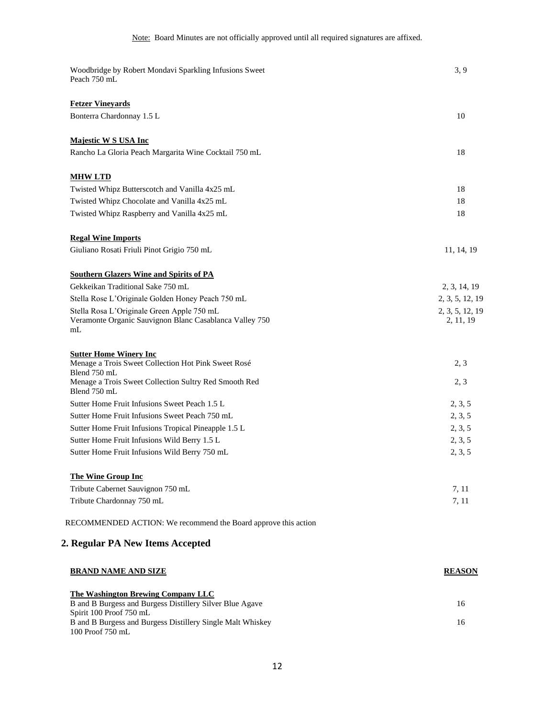| Woodbridge by Robert Mondavi Sparkling Infusions Sweet<br>Peach 750 mL                                                  | 3, 9                         |
|-------------------------------------------------------------------------------------------------------------------------|------------------------------|
| <b>Fetzer Vineyards</b>                                                                                                 |                              |
| Bonterra Chardonnay 1.5 L                                                                                               | 10                           |
| <b>Majestic W S USA Inc</b>                                                                                             |                              |
| Rancho La Gloria Peach Margarita Wine Cocktail 750 mL                                                                   | 18                           |
| <b>MHW LTD</b>                                                                                                          |                              |
| Twisted Whipz Butterscotch and Vanilla 4x25 mL                                                                          | 18                           |
| Twisted Whipz Chocolate and Vanilla 4x25 mL                                                                             | 18                           |
| Twisted Whipz Raspberry and Vanilla 4x25 mL                                                                             | 18                           |
| <b>Regal Wine Imports</b>                                                                                               |                              |
| Giuliano Rosati Friuli Pinot Grigio 750 mL                                                                              | 11, 14, 19                   |
| <b>Southern Glazers Wine and Spirits of PA</b>                                                                          |                              |
| Gekkeikan Traditional Sake 750 mL                                                                                       | 2, 3, 14, 19                 |
| Stella Rose L'Originale Golden Honey Peach 750 mL                                                                       | 2, 3, 5, 12, 19              |
| Stella Rosa L'Originale Green Apple 750 mL<br>Veramonte Organic Sauvignon Blanc Casablanca Valley 750<br>m <sub>L</sub> | 2, 3, 5, 12, 19<br>2, 11, 19 |
| <b>Sutter Home Winery Inc</b>                                                                                           |                              |
| Menage a Trois Sweet Collection Hot Pink Sweet Rosé                                                                     | 2, 3                         |
| Blend 750 mL<br>Menage a Trois Sweet Collection Sultry Red Smooth Red<br>Blend 750 mL                                   | 2, 3                         |
| Sutter Home Fruit Infusions Sweet Peach 1.5 L                                                                           | 2, 3, 5                      |
| Sutter Home Fruit Infusions Sweet Peach 750 mL                                                                          | 2, 3, 5                      |
| Sutter Home Fruit Infusions Tropical Pineapple 1.5 L                                                                    | 2, 3, 5                      |
| Sutter Home Fruit Infusions Wild Berry 1.5 L                                                                            | 2, 3, 5                      |
| Sutter Home Fruit Infusions Wild Berry 750 mL                                                                           | 2, 3, 5                      |
| <b>The Wine Group Inc</b>                                                                                               |                              |
| Tribute Cabernet Sauvignon 750 mL                                                                                       | 7, 11                        |
| Tribute Chardonnay 750 mL                                                                                               | 7, 11                        |
| RECOMMENDED ACTION: We recommend the Board approve this action                                                          |                              |
| 2. Regular PA New Items Accepted                                                                                        |                              |
| <b>BRAND NAME AND SIZE</b>                                                                                              | <b>REASON</b>                |
| <b>The Washington Brewing Company LLC</b>                                                                               |                              |

| B and B Burgess and Burgess Distillery Silver Blue Agave   |  |
|------------------------------------------------------------|--|
| Spirit 100 Proof 750 mL                                    |  |
| B and B Burgess and Burgess Distillery Single Malt Whiskey |  |
| 100 Proof 750 mL                                           |  |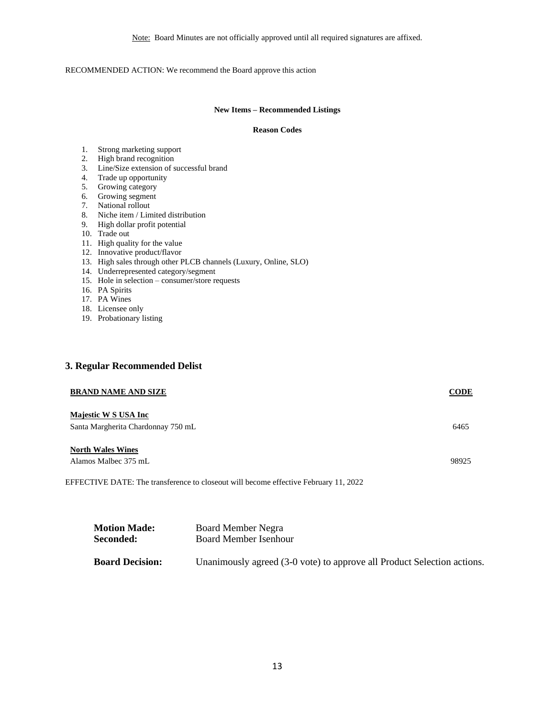Note: Board Minutes are not officially approved until all required signatures are affixed.

#### RECOMMENDED ACTION: We recommend the Board approve this action

#### **New Items – Recommended Listings**

#### **Reason Codes**

- 1. Strong marketing support
- 2. High brand recognition
- 3. Line/Size extension of successful brand
- 4. Trade up opportunity
- 5. Growing category
- 6. Growing segment
- 7. National rollout
- 8. Niche item / Limited distribution
- 9. High dollar profit potential
- 10. Trade out
- 11. High quality for the value
- 12. Innovative product/flavor
- 13. High sales through other PLCB channels (Luxury, Online, SLO)
- 14. Underrepresented category/segment
- 15. Hole in selection consumer/store requests
- 16. PA Spirits
- 17. PA Wines
- 18. Licensee only
- 19. Probationary listing

### **3. Regular Recommended Delist**

| <b>BRAND NAME AND SIZE</b>                                                           | CODE  |
|--------------------------------------------------------------------------------------|-------|
| Majestic W S USA Inc<br>Santa Margherita Chardonnay 750 mL                           | 6465  |
| <b>North Wales Wines</b><br>Alamos Malbec 375 mL                                     | 98925 |
| EFFECTIVE DATE: The transference to closeout will become effective February 11, 2022 |       |

| <b>Motion Made:</b>    | Board Member Negra                                                      |
|------------------------|-------------------------------------------------------------------------|
| Seconded:              | Board Member Isenhour                                                   |
|                        |                                                                         |
| <b>Board Decision:</b> | Unanimously agreed (3-0 vote) to approve all Product Selection actions. |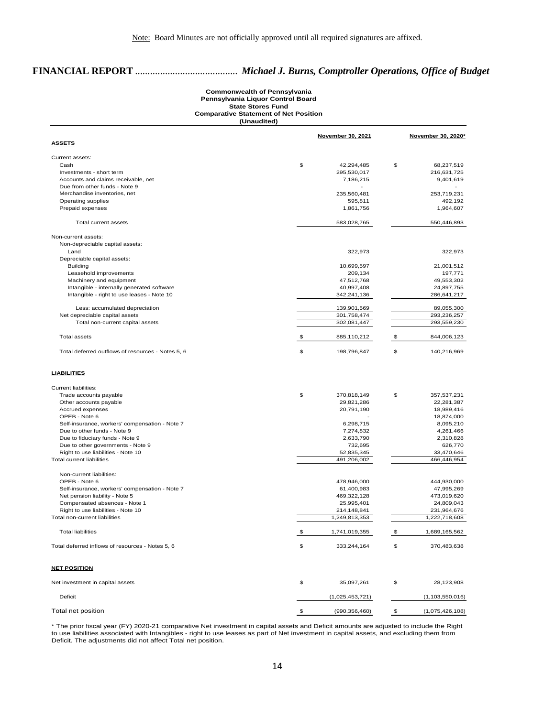## **FINANCIAL REPORT** ......................................... *Michael J. Burns, Comptroller Operations, Office of Budget*

#### **Commonwealth of Pennsylvania Pennsylvania Liquor Control Board State Stores Fund Comparative Statement of Net Position (Unaudited)**

|                                                   | <b>November 30, 2021</b> | November 30, 2020*    |
|---------------------------------------------------|--------------------------|-----------------------|
| <u>ASSETS</u>                                     |                          |                       |
| Current assets:                                   |                          |                       |
| Cash                                              | \$<br>42,294,485         | \$<br>68,237,519      |
| Investments - short term                          | 295,530,017              | 216,631,725           |
| Accounts and claims receivable, net               | 7,186,215                | 9,401,619             |
| Due from other funds - Note 9                     |                          |                       |
| Merchandise inventories, net                      | 235,560,481              | 253,719,231           |
| Operating supplies                                | 595,811                  | 492,192               |
| Prepaid expenses                                  | 1,861,756                | 1,964,607             |
| Total current assets                              | 583,028,765              | 550,446,893           |
| Non-current assets:                               |                          |                       |
| Non-depreciable capital assets:                   |                          |                       |
| Land                                              | 322,973                  | 322,973               |
| Depreciable capital assets:                       |                          |                       |
| <b>Building</b>                                   | 10,699,597               | 21,001,512            |
| Leasehold improvements                            | 209,134                  | 197,771               |
| Machinery and equipment                           | 47,512,768               | 49,553,302            |
| Intangible - internally generated software        | 40,997,408               | 24,897,755            |
| Intangible - right to use leases - Note 10        | 342,241,136              | 286,641,217           |
| Less: accumulated depreciation                    | 139,901,569              | 89,055,300            |
| Net depreciable capital assets                    | 301,758,474              | 293,236,257           |
| Total non-current capital assets                  | 302,081,447              | 293,559,230           |
|                                                   |                          |                       |
| <b>Total assets</b>                               | \$<br>885,110,212        | \$<br>844,006,123     |
| Total deferred outflows of resources - Notes 5, 6 | \$<br>198,796,847        | \$<br>140,216,969     |
| <b>LIABILITIES</b>                                |                          |                       |
|                                                   |                          |                       |
| <b>Current liabilities:</b>                       |                          |                       |
| Trade accounts payable                            | \$<br>370,818,149        | \$<br>357,537,231     |
| Other accounts payable                            | 29,821,286               | 22,281,387            |
| Accrued expenses                                  | 20,791,190               | 18,989,416            |
| OPEB - Note 6                                     |                          | 18,874,000            |
| Self-insurance, workers' compensation - Note 7    | 6,298,715                | 8,095,210             |
| Due to other funds - Note 9                       | 7,274,832                | 4,261,466             |
| Due to fiduciary funds - Note 9                   | 2,633,790                | 2,310,828             |
| Due to other governments - Note 9                 | 732,695                  | 626,770               |
| Right to use liabilities - Note 10                | 52,835,345               | 33,470,646            |
| <b>Total current liabilities</b>                  | 491,206,002              | 466,446,954           |
| Non-current liabilities:                          |                          |                       |
| OPEB - Note 6                                     | 478,946,000              | 444,930,000           |
| Self-insurance, workers' compensation - Note 7    | 61,400,983               | 47,995,269            |
| Net pension liability - Note 5                    | 469,322,128              | 473,019,620           |
| Compensated absences - Note 1                     | 25,995,401               | 24,809,043            |
| Right to use liabilities - Note 10                | 214,148,841              | 231,964,676           |
| Total non-current liabilities                     | 1,249,813,353            | 1,222,718,608         |
| <b>Total liabilities</b>                          | \$<br>1,741,019,355      | \$<br>1,689,165,562   |
| Total deferred inflows of resources - Notes 5, 6  | \$<br>333,244,164        | \$                    |
|                                                   |                          | 370,483,638           |
| <b>NET POSITION</b>                               |                          |                       |
| Net investment in capital assets                  | \$<br>35,097,261         | \$<br>28,123,908      |
| Deficit                                           | (1,025,453,721)          | (1, 103, 550, 016)    |
| Total net position                                | \$<br>(990, 356, 460)    | \$<br>(1,075,426,108) |

\* The prior fiscal year (FY) 2020-21 comparative Net investment in capital assets and Deficit amounts are adjusted to include the Right to use liabilities associated with Intangibles - right to use leases as part of Net investment in capital assets, and excluding them from Deficit. The adjustments did not affect Total net position.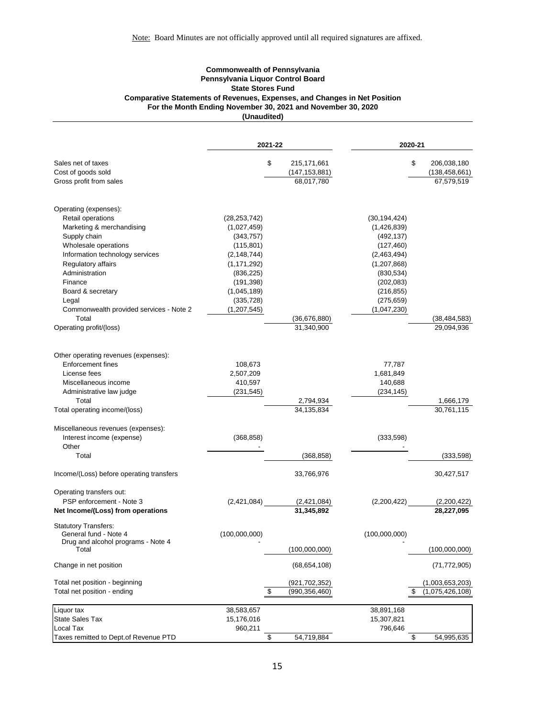#### **Commonwealth of Pennsylvania Pennsylvania Liquor Control Board State Stores Fund Comparative Statements of Revenues, Expenses, and Changes in Net Position For the Month Ending November 30, 2021 and November 30, 2020 (Unaudited)**

|                                                      | 2021-22        |                   |                            | 2020-21        |    |                              |
|------------------------------------------------------|----------------|-------------------|----------------------------|----------------|----|------------------------------|
| Sales net of taxes                                   |                | \$                | 215, 171, 661              |                | \$ | 206,038,180                  |
| Cost of goods sold                                   |                |                   | (147, 153, 881)            |                |    | (138, 458, 661)              |
| Gross profit from sales                              |                |                   | 68,017,780                 |                |    | 67,579,519                   |
| Operating (expenses):                                |                |                   |                            |                |    |                              |
| Retail operations                                    | (28, 253, 742) |                   |                            | (30, 194, 424) |    |                              |
| Marketing & merchandising                            | (1,027,459)    |                   |                            | (1,426,839)    |    |                              |
| Supply chain                                         | (343, 757)     |                   |                            | (492, 137)     |    |                              |
| Wholesale operations                                 | (115, 801)     |                   |                            | (127, 460)     |    |                              |
| Information technology services                      | (2, 148, 744)  |                   |                            | (2,463,494)    |    |                              |
| Regulatory affairs                                   | (1, 171, 292)  |                   |                            | (1, 207, 868)  |    |                              |
| Administration                                       | (836, 225)     |                   |                            | (830, 534)     |    |                              |
| Finance                                              | (191, 398)     |                   |                            | (202, 083)     |    |                              |
| Board & secretary                                    | (1,045,189)    |                   |                            | (216, 855)     |    |                              |
| Legal                                                | (335, 728)     |                   |                            | (275, 659)     |    |                              |
| Commonwealth provided services - Note 2<br>Total     | (1, 207, 545)  |                   |                            | (1,047,230)    |    |                              |
| Operating profit/(loss)                              |                |                   | (36,676,880)<br>31,340,900 |                |    | (38, 484, 583)<br>29,094,936 |
|                                                      |                |                   |                            |                |    |                              |
| Other operating revenues (expenses):                 |                |                   |                            |                |    |                              |
| <b>Enforcement fines</b>                             | 108,673        |                   |                            | 77,787         |    |                              |
| License fees                                         | 2,507,209      |                   |                            | 1,681,849      |    |                              |
| Miscellaneous income                                 | 410,597        |                   |                            | 140,688        |    |                              |
| Administrative law judge                             | (231, 545)     |                   |                            | (234, 145)     |    |                              |
| Total<br>Total operating income/(loss)               |                |                   | 2,794,934<br>34,135,834    |                |    | 1,666,179<br>30,761,115      |
|                                                      |                |                   |                            |                |    |                              |
| Miscellaneous revenues (expenses):                   |                |                   |                            |                |    |                              |
| Interest income (expense)                            | (368, 858)     |                   |                            | (333, 598)     |    |                              |
| Other                                                |                |                   |                            |                |    |                              |
| Total                                                |                |                   | (368, 858)                 |                |    | (333, 598)                   |
| Income/(Loss) before operating transfers             |                |                   | 33,766,976                 |                |    | 30,427,517                   |
| Operating transfers out:                             |                |                   |                            |                |    |                              |
| PSP enforcement - Note 3                             | (2,421,084)    |                   | (2,421,084)                | (2,200,422)    |    | (2,200,422)                  |
| Net Income/(Loss) from operations                    |                |                   | 31,345,892                 |                |    | 28,227,095                   |
| <b>Statutory Transfers:</b><br>General fund - Note 4 | (100,000,000)  |                   |                            | (100,000,000)  |    |                              |
| Drug and alcohol programs - Note 4                   |                |                   |                            |                |    |                              |
| Total                                                |                |                   | (100,000,000)              |                |    | (100,000,000)                |
| Change in net position                               |                |                   | (68, 654, 108)             |                |    | (71, 772, 905)               |
| Total net position - beginning                       |                |                   | (921,702,352)              |                |    | (1,003,653,203)              |
| Total net position - ending                          |                | $\boldsymbol{\$}$ | (990, 356, 460)            |                | \$ | (1,075,426,108)              |
| Liquor tax                                           | 38,583,657     |                   |                            | 38,891,168     |    |                              |
| <b>State Sales Tax</b>                               | 15,176,016     |                   |                            | 15,307,821     |    |                              |
| Local Tax                                            | 960,211        |                   |                            | 796,646        |    |                              |
| Taxes remitted to Dept.of Revenue PTD                |                | \$                | 54,719,884                 |                | \$ | 54,995,635                   |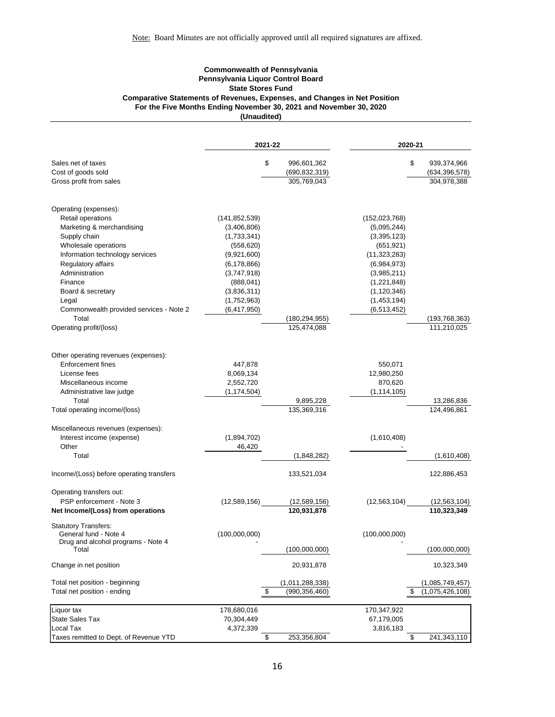#### **Commonwealth of Pennsylvania Pennsylvania Liquor Control Board State Stores Fund Comparative Statements of Revenues, Expenses, and Changes in Net Position For the Five Months Ending November 30, 2021 and November 30, 2020 (Unaudited)**

|                                                                 | 2021-22                      |    |                          |                             | 2020-21 |                           |  |
|-----------------------------------------------------------------|------------------------------|----|--------------------------|-----------------------------|---------|---------------------------|--|
| Sales net of taxes                                              |                              | \$ | 996,601,362              |                             | \$      | 939,374,966               |  |
| Cost of goods sold                                              |                              |    | (690, 832, 319)          |                             |         | (634, 396, 578)           |  |
| Gross profit from sales                                         |                              |    | 305,769,043              |                             |         | 304,978,388               |  |
| Operating (expenses):                                           |                              |    |                          |                             |         |                           |  |
| Retail operations                                               | (141, 852, 539)              |    |                          | (152, 023, 768)             |         |                           |  |
| Marketing & merchandising                                       | (3,406,806)                  |    |                          | (5,095,244)                 |         |                           |  |
| Supply chain                                                    | (1,733,341)                  |    |                          | (3,395,123)                 |         |                           |  |
| Wholesale operations<br>Information technology services         | (558, 620)                   |    |                          | (651, 921)                  |         |                           |  |
| Regulatory affairs                                              | (9,921,600)<br>(6, 178, 866) |    |                          | (11,323,283)<br>(6,984,973) |         |                           |  |
| Administration                                                  | (3,747,918)                  |    |                          | (3,985,211)                 |         |                           |  |
| Finance                                                         | (888, 041)                   |    |                          | (1,221,848)                 |         |                           |  |
| Board & secretary                                               | (3,836,311)                  |    |                          | (1, 120, 346)               |         |                           |  |
| Legal                                                           | (1,752,963)                  |    |                          | (1,453,194)                 |         |                           |  |
| Commonwealth provided services - Note 2                         | (6, 417, 950)                |    |                          | (6, 513, 452)               |         |                           |  |
| Total                                                           |                              |    | (180, 294, 955)          |                             |         | (193,768,363)             |  |
| Operating profit/(loss)                                         |                              |    | 125,474,088              |                             |         | 111,210,025               |  |
|                                                                 |                              |    |                          |                             |         |                           |  |
| Other operating revenues (expenses):                            |                              |    |                          |                             |         |                           |  |
| <b>Enforcement fines</b>                                        | 447,878                      |    |                          | 550,071                     |         |                           |  |
| License fees                                                    | 8,069,134                    |    |                          | 12,980,250                  |         |                           |  |
| Miscellaneous income                                            | 2,552,720                    |    |                          | 870,620                     |         |                           |  |
| Administrative law judge                                        | (1, 174, 504)                |    |                          | (1, 114, 105)               |         |                           |  |
| Total<br>Total operating income/(loss)                          |                              |    | 9,895,228<br>135,369,316 |                             |         | 13,286,836<br>124,496,861 |  |
|                                                                 |                              |    |                          |                             |         |                           |  |
| Miscellaneous revenues (expenses):<br>Interest income (expense) | (1,894,702)                  |    |                          | (1,610,408)                 |         |                           |  |
| Other                                                           | 46,420                       |    |                          |                             |         |                           |  |
| Total                                                           |                              |    | (1,848,282)              |                             |         | (1,610,408)               |  |
| Income/(Loss) before operating transfers                        |                              |    | 133,521,034              |                             |         | 122,886,453               |  |
| Operating transfers out:                                        |                              |    |                          |                             |         |                           |  |
| PSP enforcement - Note 3                                        | (12,589,156)                 |    | (12,589,156)             | (12,563,104)                |         | (12, 563, 104)            |  |
| Net Income/(Loss) from operations                               |                              |    | 120,931,878              |                             |         | 110,323,349               |  |
| <b>Statutory Transfers:</b><br>General fund - Note 4            | (100,000,000)                |    |                          | (100,000,000)               |         |                           |  |
| Drug and alcohol programs - Note 4                              |                              |    |                          |                             |         |                           |  |
| Total                                                           |                              |    | (100,000,000)            |                             |         | (100,000,000)             |  |
| Change in net position                                          |                              |    | 20,931,878               |                             |         | 10,323,349                |  |
| Total net position - beginning                                  |                              |    | (1,011,288,338)          |                             |         | (1,085,749,457)           |  |
| Total net position - ending                                     |                              | \$ | (990, 356, 460)          |                             | \$      | (1,075,426,108)           |  |
| Liquor tax                                                      | 178,680,016                  |    |                          | 170,347,922                 |         |                           |  |
| <b>State Sales Tax</b>                                          | 70,304,449                   |    |                          | 67,179,005                  |         |                           |  |
| Local Tax                                                       | 4,372,339                    |    |                          | 3,816,183                   |         |                           |  |
| Taxes remitted to Dept. of Revenue YTD                          |                              | \$ | 253,356,804              |                             | \$      | 241,343,110               |  |